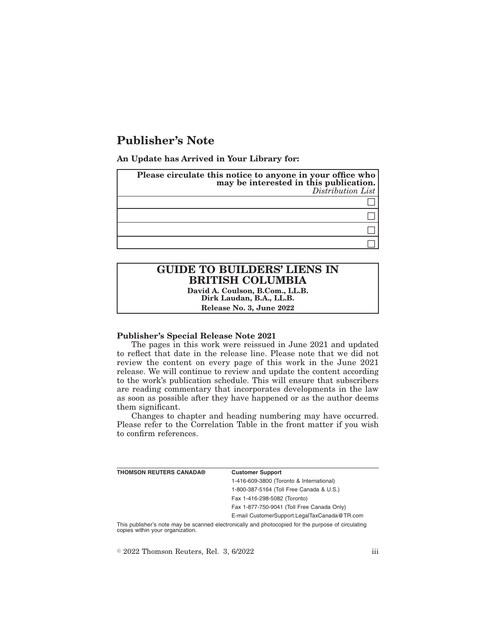# **Publisher's Note**

**An Update has Arrived in Your Library for:**

| Please circulate this notice to anyone in your office who<br>may be interested in this publication.<br>Distribution List |
|--------------------------------------------------------------------------------------------------------------------------|
|                                                                                                                          |
|                                                                                                                          |
|                                                                                                                          |
|                                                                                                                          |

# **GUIDE TO BUILDERS' LIENS IN BRITISH COLUMBIA**

**David A. Coulson, B.Com., LL.B. Dirk Laudan, B.A., LL.B. Release No. 3, June 2022**

#### **Publisher's Special Release Note 2021**

The pages in this work were reissued in June 2021 and updated to reflect that date in the release line. Please note that we did not review the content on every page of this work in the June 2021 release. We will continue to review and update the content according to the work's publication schedule. This will ensure that subscribers are reading commentary that incorporates developments in the law as soon as possible after they have happened or as the author deems them significant.

Changes to chapter and heading numbering may have occurred. Please refer to the Correlation Table in the front matter if you wish to confirm references.

| THOMSON REUTERS CANADA® | <b>Customer Support</b>                                                                            |
|-------------------------|----------------------------------------------------------------------------------------------------|
|                         | 1-416-609-3800 (Toronto & International)                                                           |
|                         | 1-800-387-5164 (Toll Free Canada & U.S.)                                                           |
|                         | Fax 1-416-298-5082 (Toronto)                                                                       |
|                         | Fax 1-877-750-9041 (Toll Free Canada Only)                                                         |
|                         | E-mail CustomerSupport.LegalTaxCanada@TR.com                                                       |
|                         | This nublisher's note may be scanned electronically and photoconied for the nurnose of circulating |

This publisher's note may be scanned electronically and photocopied for the purpose of circulating copies within your organization.

 $\textdegree$  2022 Thomson Reuters, Rel. 3, 6/2022 iii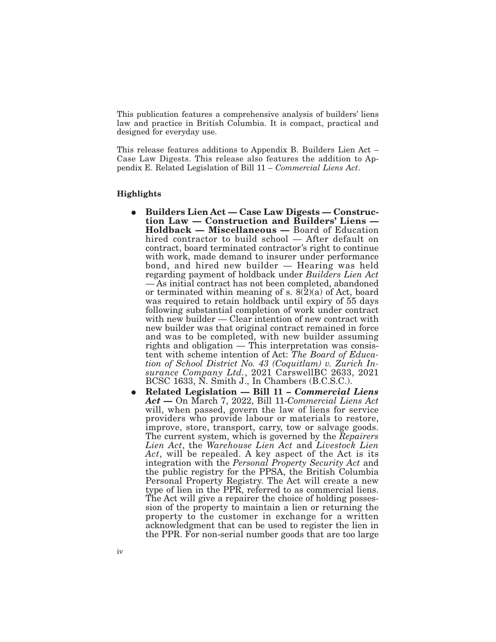This publication features a comprehensive analysis of builders' liens law and practice in British Columbia. It is compact, practical and designed for everyday use.

This release features additions to Appendix B. Builders Lien Act – Case Law Digests. This release also features the addition to Appendix E. Related Legislation of Bill 11 – *Commercial Liens Act*.

### **Highlights**

- E **Builders Lien Act Case Law Digests Construction Law — Construction and Builders' Liens — Holdback — Miscellaneous —** Board of Education hired contractor to build school — After default on contract, board terminated contractor's right to continue with work, made demand to insurer under performance bond, and hired new builder — Hearing was held regarding payment of holdback under *Builders Lien Act* — As initial contract has not been completed, abandoned or terminated within meaning of s.  $8(2)(a)$  of Act, board was required to retain holdback until expiry of 55 days following substantial completion of work under contract with new builder — Clear intention of new contract with new builder was that original contract remained in force and was to be completed, with new builder assuming rights and obligation — This interpretation was consistent with scheme intention of Act: *The Board of Education of School District No. 43 (Coquitlam) v. Zurich Insurance Company Ltd.*, 2021 CarswellBC 2633, 2021 BCSC 1633, N. Smith J., In Chambers (B.C.S.C.).
- E **Related Legislation Bill 11 –** *Commercial Liens Act* **—** On March 7, 2022, Bill 11-*Commercial Liens Act* will, when passed, govern the law of liens for service providers who provide labour or materials to restore, improve, store, transport, carry, tow or salvage goods. The current system, which is governed by the *Repairers Lien Act*, the *Warehouse Lien Act* and *Livestock Lien Act*, will be repealed. A key aspect of the Act is its integration with the *Personal Property Security Act* and the public registry for the PPSA, the British Columbia Personal Property Registry. The Act will create a new type of lien in the PPR, referred to as commercial liens. The Act will give a repairer the choice of holding possession of the property to maintain a lien or returning the property to the customer in exchange for a written acknowledgment that can be used to register the lien in the PPR. For non-serial number goods that are too large